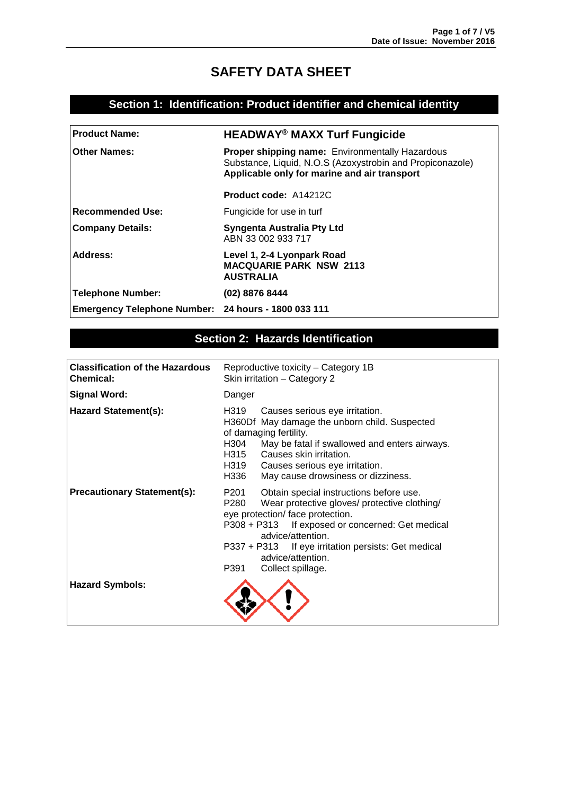# **SAFETY DATA SHEET**

### **Section 1: Identification: Product identifier and chemical identity**

| <b>Product Name:</b>                                | <b>HEADWAY<sup>®</sup> MAXX Turf Fungicide</b>                                                                                                                      |
|-----------------------------------------------------|---------------------------------------------------------------------------------------------------------------------------------------------------------------------|
| <b>Other Names:</b>                                 | <b>Proper shipping name: Environmentally Hazardous</b><br>Substance, Liquid, N.O.S (Azoxystrobin and Propiconazole)<br>Applicable only for marine and air transport |
|                                                     | <b>Product code: A14212C</b>                                                                                                                                        |
| Recommended Use:                                    | Fungicide for use in turf                                                                                                                                           |
| <b>Company Details:</b>                             | <b>Syngenta Australia Pty Ltd</b><br>ABN 33 002 933 717                                                                                                             |
| Address:                                            | Level 1, 2-4 Lyonpark Road<br><b>MACQUARIE PARK NSW 2113</b><br><b>AUSTRALIA</b>                                                                                    |
| Telephone Number:                                   | (02) 8876 8444                                                                                                                                                      |
| Emergency Telephone Number: 24 hours - 1800 033 111 |                                                                                                                                                                     |

### **Section 2: Hazards Identification**

| <b>Classification of the Hazardous</b><br><b>Chemical:</b> | Reproductive toxicity - Category 1B<br>Skin irritation - Category 2                                                                                                                                                                                                                                                           |  |
|------------------------------------------------------------|-------------------------------------------------------------------------------------------------------------------------------------------------------------------------------------------------------------------------------------------------------------------------------------------------------------------------------|--|
| <b>Signal Word:</b>                                        | Danger                                                                                                                                                                                                                                                                                                                        |  |
| <b>Hazard Statement(s):</b>                                | H319<br>Causes serious eye irritation.<br>H360Df May damage the unborn child. Suspected<br>of damaging fertility.<br>H304<br>May be fatal if swallowed and enters airways.<br>Causes skin irritation.<br>H315<br>H319 Causes serious eye irritation.<br>H336<br>May cause drowsiness or dizziness.                            |  |
| <b>Precautionary Statement(s):</b>                         | P201<br>Obtain special instructions before use.<br>P280<br>Wear protective gloves/ protective clothing/<br>eye protection/ face protection.<br>P308 + P313 If exposed or concerned: Get medical<br>advice/attention.<br>P337 + P313 If eye irritation persists: Get medical<br>advice/attention.<br>Collect spillage.<br>P391 |  |
| <b>Hazard Symbols:</b>                                     |                                                                                                                                                                                                                                                                                                                               |  |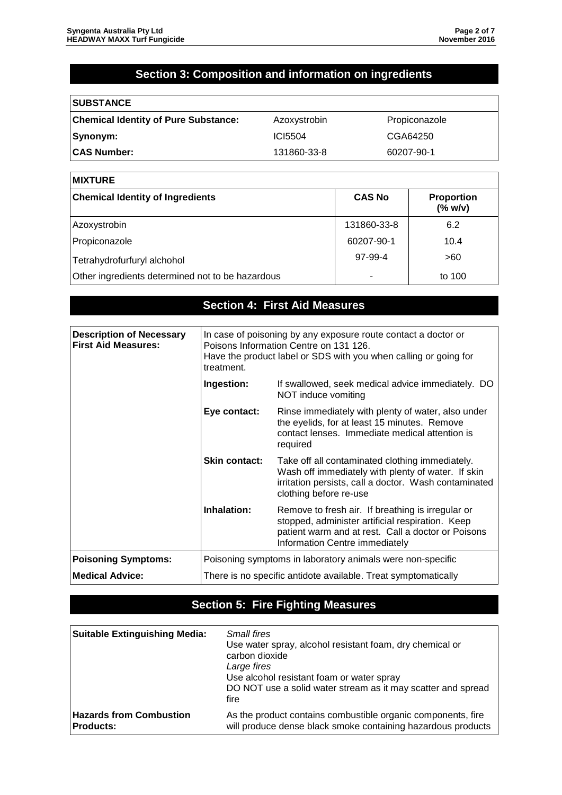# **Section 3: Composition and information on ingredients**

| <b>SUBSTANCE</b>                            |              |               |
|---------------------------------------------|--------------|---------------|
| <b>Chemical Identity of Pure Substance:</b> | Azoxystrobin | Propiconazole |
| Synonym:                                    | ICI5504      | CGA64250      |
| <b>CAS Number:</b>                          | 131860-33-8  | 60207-90-1    |

| <b>MIXTURE</b>                                   |                          |                              |
|--------------------------------------------------|--------------------------|------------------------------|
| <b>Chemical Identity of Ingredients</b>          | <b>CAS No</b>            | <b>Proportion</b><br>(% w/v) |
| Azoxystrobin                                     | 131860-33-8              | 6.2                          |
| Propiconazole                                    | 60207-90-1               | 10.4                         |
| Tetrahydrofurfuryl alchohol                      | 97-99-4                  | >60                          |
| Other ingredients determined not to be hazardous | $\overline{\phantom{0}}$ | to 100                       |

|                                                               |                                                                                                                                                                                            | <b>Section 4: First Aid Measures</b>                                                                                                                                                          |
|---------------------------------------------------------------|--------------------------------------------------------------------------------------------------------------------------------------------------------------------------------------------|-----------------------------------------------------------------------------------------------------------------------------------------------------------------------------------------------|
|                                                               |                                                                                                                                                                                            |                                                                                                                                                                                               |
| <b>Description of Necessary</b><br><b>First Aid Measures:</b> | In case of poisoning by any exposure route contact a doctor or<br>Poisons Information Centre on 131 126.<br>Have the product label or SDS with you when calling or going for<br>treatment. |                                                                                                                                                                                               |
|                                                               | Ingestion:                                                                                                                                                                                 | If swallowed, seek medical advice immediately. DO<br>NOT induce vomiting                                                                                                                      |
|                                                               | Eye contact:                                                                                                                                                                               | Rinse immediately with plenty of water, also under<br>the eyelids, for at least 15 minutes. Remove<br>contact lenses. Immediate medical attention is<br>required                              |
|                                                               | <b>Skin contact:</b>                                                                                                                                                                       | Take off all contaminated clothing immediately.<br>Wash off immediately with plenty of water. If skin<br>irritation persists, call a doctor. Wash contaminated<br>clothing before re-use      |
|                                                               | Inhalation:                                                                                                                                                                                | Remove to fresh air. If breathing is irregular or<br>stopped, administer artificial respiration. Keep<br>patient warm and at rest. Call a doctor or Poisons<br>Information Centre immediately |
| <b>Poisoning Symptoms:</b>                                    | Poisoning symptoms in laboratory animals were non-specific                                                                                                                                 |                                                                                                                                                                                               |
| <b>Medical Advice:</b>                                        | There is no specific antidote available. Treat symptomatically                                                                                                                             |                                                                                                                                                                                               |

## **Section 5: Fire Fighting Measures**

| <b>Suitable Extinguishing Media:</b> | <b>Small fires</b><br>Use water spray, alcohol resistant foam, dry chemical or<br>carbon dioxide<br>Large fires<br>Use alcohol resistant foam or water spray<br>DO NOT use a solid water stream as it may scatter and spread<br>fire |
|--------------------------------------|--------------------------------------------------------------------------------------------------------------------------------------------------------------------------------------------------------------------------------------|
| <b>Hazards from Combustion</b>       | As the product contains combustible organic components, fire                                                                                                                                                                         |
| <b>Products:</b>                     | will produce dense black smoke containing hazardous products                                                                                                                                                                         |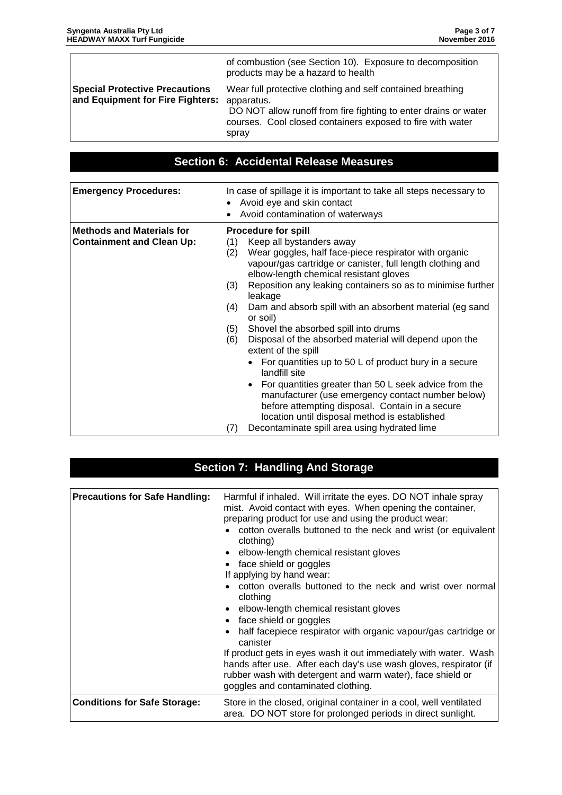|                                                                           | of combustion (see Section 10). Exposure to decomposition<br>products may be a hazard to health                                                                                                                    |
|---------------------------------------------------------------------------|--------------------------------------------------------------------------------------------------------------------------------------------------------------------------------------------------------------------|
| <b>Special Protective Precautions</b><br>and Equipment for Fire Fighters: | Wear full protective clothing and self contained breathing<br>apparatus.<br>DO NOT allow runoff from fire fighting to enter drains or water<br>courses. Cool closed containers exposed to fire with water<br>spray |
|                                                                           |                                                                                                                                                                                                                    |

## **Section 6: Accidental Release Measures**

| <b>Emergency Procedures:</b>                                         | In case of spillage it is important to take all steps necessary to<br>Avoid eye and skin contact<br>$\bullet$<br>Avoid contamination of waterways                                                                                                                                                                                                                                                                                                                                                                                                                                                                                                                                                                                                                                                                                                                                                            |
|----------------------------------------------------------------------|--------------------------------------------------------------------------------------------------------------------------------------------------------------------------------------------------------------------------------------------------------------------------------------------------------------------------------------------------------------------------------------------------------------------------------------------------------------------------------------------------------------------------------------------------------------------------------------------------------------------------------------------------------------------------------------------------------------------------------------------------------------------------------------------------------------------------------------------------------------------------------------------------------------|
| <b>Methods and Materials for</b><br><b>Containment and Clean Up:</b> | <b>Procedure for spill</b><br>Keep all bystanders away<br>(1)<br>Wear goggles, half face-piece respirator with organic<br>(2)<br>vapour/gas cartridge or canister, full length clothing and<br>elbow-length chemical resistant gloves<br>Reposition any leaking containers so as to minimise further<br>(3)<br>leakage<br>Dam and absorb spill with an absorbent material (eg sand<br>(4)<br>or soil)<br>Shovel the absorbed spill into drums<br>(5)<br>Disposal of the absorbed material will depend upon the<br>(6)<br>extent of the spill<br>For quantities up to 50 L of product bury in a secure<br>landfill site<br>For quantities greater than 50 L seek advice from the<br>$\bullet$<br>manufacturer (use emergency contact number below)<br>before attempting disposal. Contain in a secure<br>location until disposal method is established<br>Decontaminate spill area using hydrated lime<br>(7) |

| <b>Section 7: Handling And Storage</b> |                                                                                                                                                                                                                                                                                                                                                                                                                                                                                                                                                                                                                                                                                                                                                                                                                                                |  |
|----------------------------------------|------------------------------------------------------------------------------------------------------------------------------------------------------------------------------------------------------------------------------------------------------------------------------------------------------------------------------------------------------------------------------------------------------------------------------------------------------------------------------------------------------------------------------------------------------------------------------------------------------------------------------------------------------------------------------------------------------------------------------------------------------------------------------------------------------------------------------------------------|--|
|                                        |                                                                                                                                                                                                                                                                                                                                                                                                                                                                                                                                                                                                                                                                                                                                                                                                                                                |  |
| <b>Precautions for Safe Handling:</b>  | Harmful if inhaled. Will irritate the eyes. DO NOT inhale spray<br>mist. Avoid contact with eyes. When opening the container,<br>preparing product for use and using the product wear:<br>cotton overalls buttoned to the neck and wrist (or equivalent<br>clothing)<br>elbow-length chemical resistant gloves<br>face shield or goggles<br>If applying by hand wear:<br>cotton overalls buttoned to the neck and wrist over normal<br>clothing<br>elbow-length chemical resistant gloves<br>face shield or goggles<br>half facepiece respirator with organic vapour/gas cartridge or<br>canister<br>If product gets in eyes wash it out immediately with water. Wash<br>hands after use. After each day's use wash gloves, respirator (if<br>rubber wash with detergent and warm water), face shield or<br>goggles and contaminated clothing. |  |
| <b>Conditions for Safe Storage:</b>    | Store in the closed, original container in a cool, well ventilated<br>area. DO NOT store for prolonged periods in direct sunlight.                                                                                                                                                                                                                                                                                                                                                                                                                                                                                                                                                                                                                                                                                                             |  |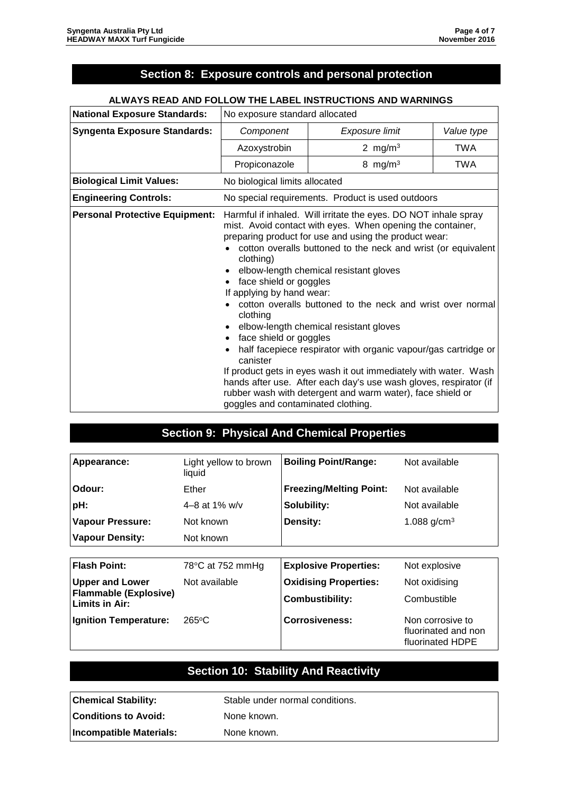## **Section 8: Exposure controls and personal protection**

#### **ALWAYS READ AND FOLLOW THE LABEL INSTRUCTIONS AND WARNINGS**

| <b>National Exposure Standards:</b>   | No exposure standard allocated                                                                                                                                        |                                                                                                                                                                                                                                                                                                                                                                                                                                                                                                                                                                                                                                                                                    |            |
|---------------------------------------|-----------------------------------------------------------------------------------------------------------------------------------------------------------------------|------------------------------------------------------------------------------------------------------------------------------------------------------------------------------------------------------------------------------------------------------------------------------------------------------------------------------------------------------------------------------------------------------------------------------------------------------------------------------------------------------------------------------------------------------------------------------------------------------------------------------------------------------------------------------------|------------|
| <b>Syngenta Exposure Standards:</b>   | Component                                                                                                                                                             | Exposure limit                                                                                                                                                                                                                                                                                                                                                                                                                                                                                                                                                                                                                                                                     | Value type |
|                                       | Azoxystrobin                                                                                                                                                          | 2 mg/m $3$                                                                                                                                                                                                                                                                                                                                                                                                                                                                                                                                                                                                                                                                         | <b>TWA</b> |
|                                       | Propiconazole                                                                                                                                                         | 8 mg/m $3$                                                                                                                                                                                                                                                                                                                                                                                                                                                                                                                                                                                                                                                                         | TWA        |
| <b>Biological Limit Values:</b>       | No biological limits allocated                                                                                                                                        |                                                                                                                                                                                                                                                                                                                                                                                                                                                                                                                                                                                                                                                                                    |            |
| <b>Engineering Controls:</b>          |                                                                                                                                                                       | No special requirements. Product is used outdoors                                                                                                                                                                                                                                                                                                                                                                                                                                                                                                                                                                                                                                  |            |
| <b>Personal Protective Equipment:</b> | clothing)<br>$\bullet$<br>face shield or goggles<br>If applying by hand wear:<br>clothing<br>face shield or goggles<br>canister<br>goggles and contaminated clothing. | Harmful if inhaled. Will irritate the eyes. DO NOT inhale spray<br>mist. Avoid contact with eyes. When opening the container,<br>preparing product for use and using the product wear:<br>cotton overalls buttoned to the neck and wrist (or equivalent<br>elbow-length chemical resistant gloves<br>cotton overalls buttoned to the neck and wrist over normal<br>elbow-length chemical resistant gloves<br>half facepiece respirator with organic vapour/gas cartridge or<br>If product gets in eyes wash it out immediately with water. Wash<br>hands after use. After each day's use wash gloves, respirator (if<br>rubber wash with detergent and warm water), face shield or |            |

### **Section 9: Physical And Chemical Properties**

| Appearance:                                    | Light yellow to brown<br>liquid | <b>Boiling Point/Range:</b>    | Not available                                               |
|------------------------------------------------|---------------------------------|--------------------------------|-------------------------------------------------------------|
| Odour:                                         | Ether                           | <b>Freezing/Melting Point:</b> | Not available                                               |
| pH:                                            | 4–8 at 1% $w/v$                 | Solubility:                    | Not available                                               |
| <b>Vapour Pressure:</b>                        | Not known                       | Density:                       | 1.088 $g/cm^{3}$                                            |
| <b>Vapour Density:</b>                         | Not known                       |                                |                                                             |
|                                                |                                 |                                |                                                             |
| <b>Flash Point:</b>                            | 78 $\degree$ C at 752 mmHg      | <b>Explosive Properties:</b>   | Not explosive                                               |
| <b>Upper and Lower</b>                         | Not available                   | <b>Oxidising Properties:</b>   | Not oxidising                                               |
| <b>Flammable (Explosive)</b><br>Limits in Air: |                                 | <b>Combustibility:</b>         | Combustible                                                 |
| <b>Ignition Temperature:</b>                   | $265\degree C$                  | <b>Corrosiveness:</b>          | Non corrosive to<br>fluorinated and non<br>fluorinated HDPE |

### **Section 10: Stability And Reactivity**

**Chemical Stability:** Stable under normal conditions.

**Conditions to Avoid:** None known.

**Incompatible Materials:** None known.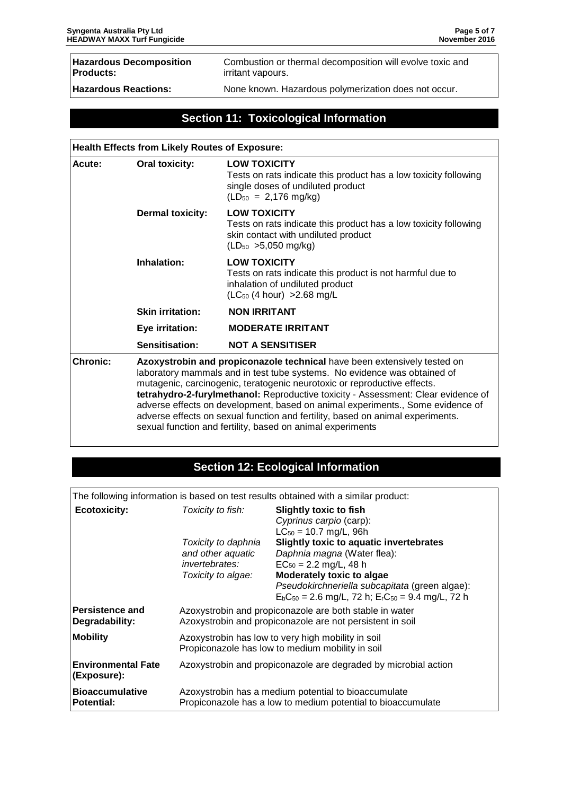| <b>Hazardous Decomposition</b> | Combustion or thermal decomposition will evolve toxic and |
|--------------------------------|-----------------------------------------------------------|
| Products:                      | irritant vapours.                                         |
| <b>Hazardous Reactions:</b>    | None known. Hazardous polymerization does not occur.      |

## **Section 11: Toxicological Information**

| <b>Health Effects from Likely Routes of Exposure:</b> |                                                                                                                                                                                                                                                                                                                                                                                                                                                                                                                                                         |                                                                                                                                                                   |  |
|-------------------------------------------------------|---------------------------------------------------------------------------------------------------------------------------------------------------------------------------------------------------------------------------------------------------------------------------------------------------------------------------------------------------------------------------------------------------------------------------------------------------------------------------------------------------------------------------------------------------------|-------------------------------------------------------------------------------------------------------------------------------------------------------------------|--|
| Acute:                                                | <b>Oral toxicity:</b>                                                                                                                                                                                                                                                                                                                                                                                                                                                                                                                                   | <b>LOW TOXICITY</b><br>Tests on rats indicate this product has a low toxicity following<br>single doses of undiluted product<br>$(LD_{50} = 2,176 \text{ mg/kg})$ |  |
|                                                       | <b>Dermal toxicity:</b>                                                                                                                                                                                                                                                                                                                                                                                                                                                                                                                                 | <b>LOW TOXICITY</b><br>Tests on rats indicate this product has a low toxicity following<br>skin contact with undiluted product<br>$(LD_{50} > 5,050$ mg/kg)       |  |
|                                                       | Inhalation:                                                                                                                                                                                                                                                                                                                                                                                                                                                                                                                                             | <b>LOW TOXICITY</b><br>Tests on rats indicate this product is not harmful due to<br>inhalation of undiluted product<br>$(LC_{50}$ (4 hour) > 2.68 mg/L            |  |
|                                                       | <b>Skin irritation:</b>                                                                                                                                                                                                                                                                                                                                                                                                                                                                                                                                 | <b>NON IRRITANT</b>                                                                                                                                               |  |
|                                                       | Eye irritation:                                                                                                                                                                                                                                                                                                                                                                                                                                                                                                                                         | <b>MODERATE IRRITANT</b>                                                                                                                                          |  |
|                                                       | Sensitisation:                                                                                                                                                                                                                                                                                                                                                                                                                                                                                                                                          | <b>NOT A SENSITISER</b>                                                                                                                                           |  |
| <b>Chronic:</b>                                       | Azoxystrobin and propiconazole technical have been extensively tested on<br>laboratory mammals and in test tube systems. No evidence was obtained of<br>mutagenic, carcinogenic, teratogenic neurotoxic or reproductive effects.<br>tetrahydro-2-furylmethanol: Reproductive toxicity - Assessment: Clear evidence of<br>adverse effects on development, based on animal experiments., Some evidence of<br>adverse effects on sexual function and fertility, based on animal experiments.<br>sexual function and fertility, based on animal experiments |                                                                                                                                                                   |  |

## **Section 12: Ecological Information**

The following information is based on test results obtained with a similar product:

| <b>Ecotoxicity:</b>                         | Toxicity to fish:                                                                                                    | <b>Slightly toxic to fish</b><br>Cyprinus carpio (carp):<br>$LC_{50} = 10.7$ mg/L, 96h                                                    |
|---------------------------------------------|----------------------------------------------------------------------------------------------------------------------|-------------------------------------------------------------------------------------------------------------------------------------------|
|                                             | Toxicity to daphnia<br>and other aquatic<br>invertebrates:                                                           | Slightly toxic to aquatic invertebrates<br>Daphnia magna (Water flea):<br>$EC_{50} = 2.2$ mg/L, 48 h                                      |
|                                             | Toxicity to algae:                                                                                                   | Moderately toxic to algae<br>Pseudokirchneriella subcapitata (green algae):<br>$E_bC_{50} = 2.6$ mg/L, 72 h; $E_rC_{50} = 9.4$ mg/L, 72 h |
| <b>Persistence and</b><br>Degradability:    | Azoxystrobin and propiconazole are both stable in water<br>Azoxystrobin and propiconazole are not persistent in soil |                                                                                                                                           |
| <b>Mobility</b>                             | Azoxystrobin has low to very high mobility in soil<br>Propiconazole has low to medium mobility in soil               |                                                                                                                                           |
| <b>Environmental Fate</b><br>(Exposure):    | Azoxystrobin and propiconazole are degraded by microbial action                                                      |                                                                                                                                           |
| <b>Bioaccumulative</b><br><b>Potential:</b> | Azoxystrobin has a medium potential to bioaccumulate<br>Propiconazole has a low to medium potential to bioaccumulate |                                                                                                                                           |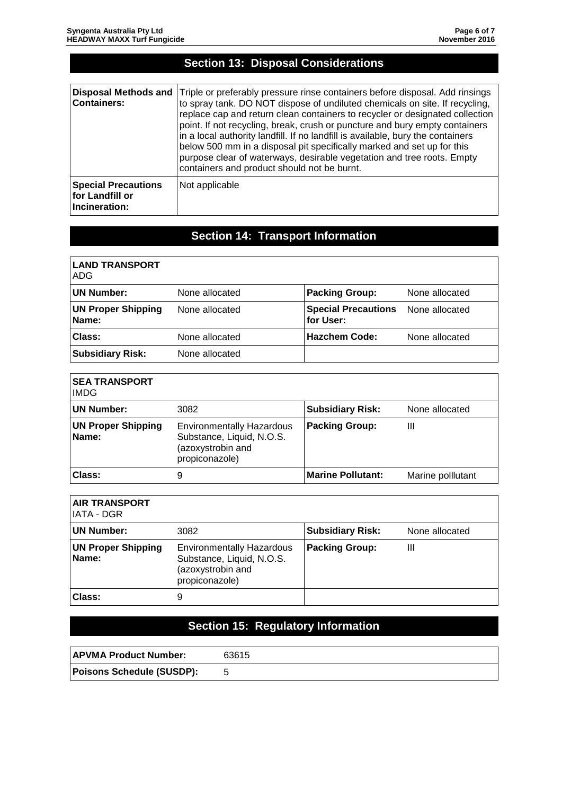| <b>Section 13: Disposal Considerations</b>                     |                                                                                                                                                                                                                                                                                                                                                                                                                                                                                                                                                                                                                  |  |
|----------------------------------------------------------------|------------------------------------------------------------------------------------------------------------------------------------------------------------------------------------------------------------------------------------------------------------------------------------------------------------------------------------------------------------------------------------------------------------------------------------------------------------------------------------------------------------------------------------------------------------------------------------------------------------------|--|
|                                                                |                                                                                                                                                                                                                                                                                                                                                                                                                                                                                                                                                                                                                  |  |
| <b>Disposal Methods and</b><br><b>Containers:</b>              | Triple or preferably pressure rinse containers before disposal. Add rinsings<br>to spray tank. DO NOT dispose of undiluted chemicals on site. If recycling,<br>replace cap and return clean containers to recycler or designated collection<br>point. If not recycling, break, crush or puncture and bury empty containers<br>in a local authority landfill. If no landfill is available, bury the containers<br>below 500 mm in a disposal pit specifically marked and set up for this<br>purpose clear of waterways, desirable vegetation and tree roots. Empty<br>containers and product should not be burnt. |  |
| <b>Special Precautions</b><br>for Landfill or<br>Incineration: | Not applicable                                                                                                                                                                                                                                                                                                                                                                                                                                                                                                                                                                                                   |  |

# **Section 14: Transport Information**

| <b>LAND TRANSPORT</b><br><b>ADG</b> |                |                                         |                |
|-------------------------------------|----------------|-----------------------------------------|----------------|
| <b>UN Number:</b>                   | None allocated | <b>Packing Group:</b>                   | None allocated |
| <b>UN Proper Shipping</b><br>Name:  | None allocated | <b>Special Precautions</b><br>for User: | None allocated |
| Class:                              | None allocated | <b>Hazchem Code:</b>                    | None allocated |
| <b>Subsidiary Risk:</b>             | None allocated |                                         |                |

| <b>SEA TRANSPORT</b><br><b>IMDG</b> |                                                                                                      |                          |                   |
|-------------------------------------|------------------------------------------------------------------------------------------------------|--------------------------|-------------------|
| <b>UN Number:</b>                   | 3082                                                                                                 | <b>Subsidiary Risk:</b>  | None allocated    |
| <b>UN Proper Shipping</b><br>Name:  | <b>Environmentally Hazardous</b><br>Substance, Liquid, N.O.S.<br>(azoxystrobin and<br>propiconazole) | <b>Packing Group:</b>    | Ш                 |
| Class:                              | 9                                                                                                    | <b>Marine Pollutant:</b> | Marine polllutant |

| <b>AIR TRANSPORT</b><br>IATA - DGR |                                                                                                      |                         |                |
|------------------------------------|------------------------------------------------------------------------------------------------------|-------------------------|----------------|
| <b>UN Number:</b>                  | 3082                                                                                                 | <b>Subsidiary Risk:</b> | None allocated |
| <b>UN Proper Shipping</b><br>Name: | <b>Environmentally Hazardous</b><br>Substance, Liquid, N.O.S.<br>(azoxystrobin and<br>propiconazole) | <b>Packing Group:</b>   | Ш              |
| Class:                             | 9                                                                                                    |                         |                |

# **Section 15: Regulatory Information**

| <b>APVMA Product Number:</b>     | 63615 |
|----------------------------------|-------|
| <b>Poisons Schedule (SUSDP):</b> |       |